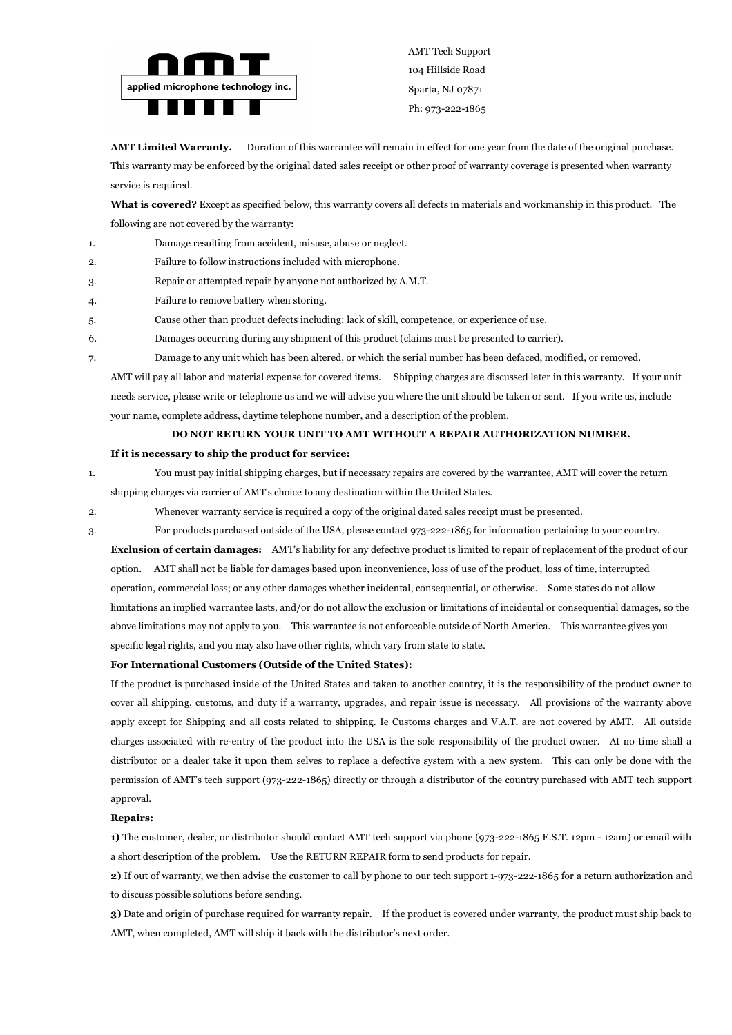

AMT Tech Support 104 Hillside Road Sparta, NJ 07871 Ph: 973-222-1865

**AMT Limited Warranty.** Duration of this warrantee will remain in effect for one year from the date of the original purchase. This warranty may be enforced by the original dated sales receipt or other proof of warranty coverage is presented when warranty service is required.

**What is covered?** Except as specified below, this warranty covers all defects in materials and workmanship in this product. The following are not covered by the warranty:

- 1. Damage resulting from accident, misuse, abuse or neglect.
- 2. Failure to follow instructions included with microphone.
- 3. Repair or attempted repair by anyone not authorized by A.M.T.
- 4. Failure to remove battery when storing.
- 5. Cause other than product defects including: lack of skill, competence, or experience of use.
- 6. Damages occurring during any shipment of this product (claims must be presented to carrier).
- 7. Damage to any unit which has been altered, or which the serial number has been defaced, modified, or removed.

AMT will pay all labor and material expense for covered items. Shipping charges are discussed later in this warranty. If your unit needs service, please write or telephone us and we will advise you where the unit should be taken or sent. If you write us, include your name, complete address, daytime telephone number, and a description of the problem.

#### **DO NOT RETURN YOUR UNIT TO AMT WITHOUT A REPAIR AUTHORIZATION NUMBER.**

#### **If it is necessary to ship the product for service:**

1. You must pay initial shipping charges, but if necessary repairs are covered by the warrantee, AMT will cover the return shipping charges via carrier of AMT's choice to any destination within the United States.

- 2. Whenever warranty service is required a copy of the original dated sales receipt must be presented.
- 3. For products purchased outside of the USA, please contact 973-222-1865 for information pertaining to your country.

**Exclusion of certain damages:** AMT's liability for any defective product is limited to repair of replacement of the product of our option. AMT shall not be liable for damages based upon inconvenience, loss of use of the product, loss of time, interrupted operation, commercial loss; or any other damages whether incidental, consequential, or otherwise. Some states do not allow limitations an implied warrantee lasts, and/or do not allow the exclusion or limitations of incidental or consequential damages, so the above limitations may not apply to you. This warrantee is not enforceable outside of North America. This warrantee gives you specific legal rights, and you may also have other rights, which vary from state to state.

#### **For International Customers (Outside of the United States):**

If the product is purchased inside of the United States and taken to another country, it is the responsibility of the product owner to cover all shipping, customs, and duty if a warranty, upgrades, and repair issue is necessary. All provisions of the warranty above apply except for Shipping and all costs related to shipping. Ie Customs charges and V.A.T. are not covered by AMT. All outside charges associated with re-entry of the product into the USA is the sole responsibility of the product owner. At no time shall a distributor or a dealer take it upon them selves to replace a defective system with a new system. This can only be done with the permission of AMT's tech support (973-222-1865) directly or through a distributor of the country purchased with AMT tech support approval.

#### **Repairs:**

**1)** The customer, dealer, or distributor should contact AMT tech support via phone (973-222-1865 E.S.T. 12pm - 12am) or email with a short description of the problem. Use the RETURN REPAIR form to send products for repair.

**2)** If out of warranty, we then advise the customer to call by phone to our tech support 1-973-222-1865 for a return authorization and to discuss possible solutions before sending.

**3)** Date and origin of purchase required for warranty repair. If the product is covered under warranty, the product must ship back to AMT, when completed, AMT will ship it back with the distributor's next order.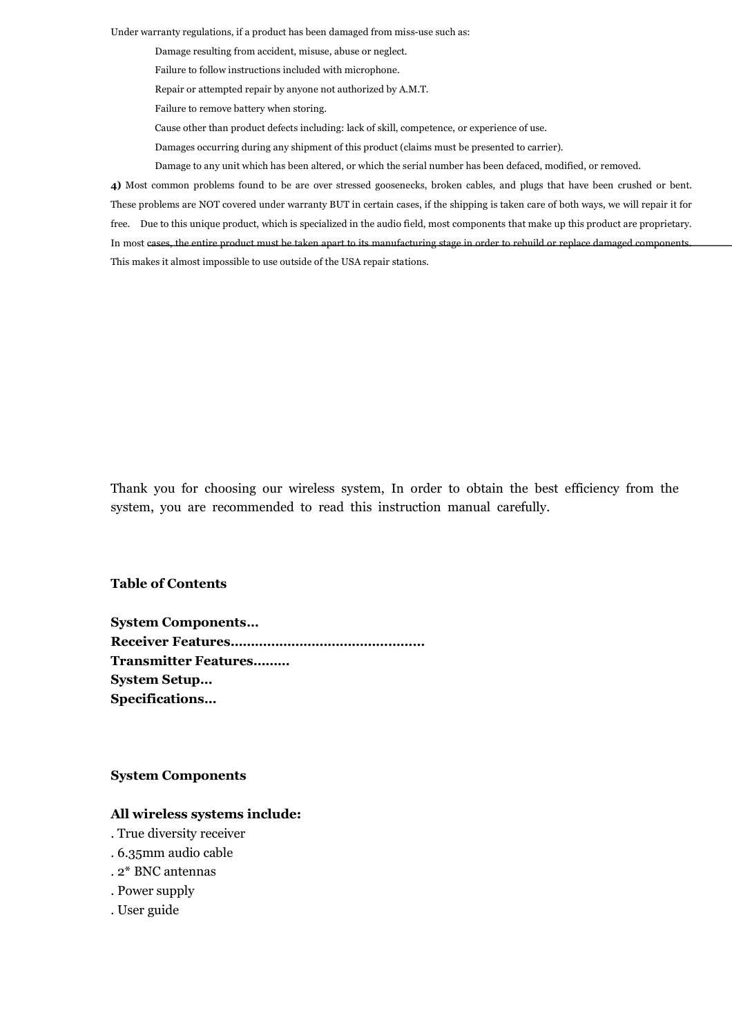Under warranty regulations, if a product has been damaged from miss-use such as:

Damage resulting from accident, misuse, abuse or neglect.

- Failure to follow instructions included with microphone.
- Repair or attempted repair by anyone not authorized by A.M.T.
- Failure to remove battery when storing.
- Cause other than product defects including: lack of skill, competence, or experience of use.
- Damages occurring during any shipment of this product (claims must be presented to carrier).
- Damage to any unit which has been altered, or which the serial number has been defaced, modified, or removed.

**4)** Most common problems found to be are over stressed goosenecks, broken cables, and plugs that have been crushed or bent. These problems are NOT covered under warranty BUT in certain cases, if the shipping is taken care of both ways, we will repair it for free. Due to this unique product, which is specialized in the audio field, most components that make up this product are proprietary. In most cases, the entire product must be taken apart to its manufacturing stage in order to rebuild or replace damaged components. This makes it almost impossible to use outside of the USA repair stations.

Thank you for choosing our wireless system, In order to obtain the best efficiency from the system, you are recommended to read this instruction manual carefully.

#### **Table of Contents**

**System Components… Receiver Features………………………………………… Transmitter Features……… System Setup… Specifications…**

#### **System Components**

#### **All wireless systems include:**

- . True diversity receiver
- . 6.35mm audio cable
- . 2\* BNC antennas
- . Power supply
- . User guide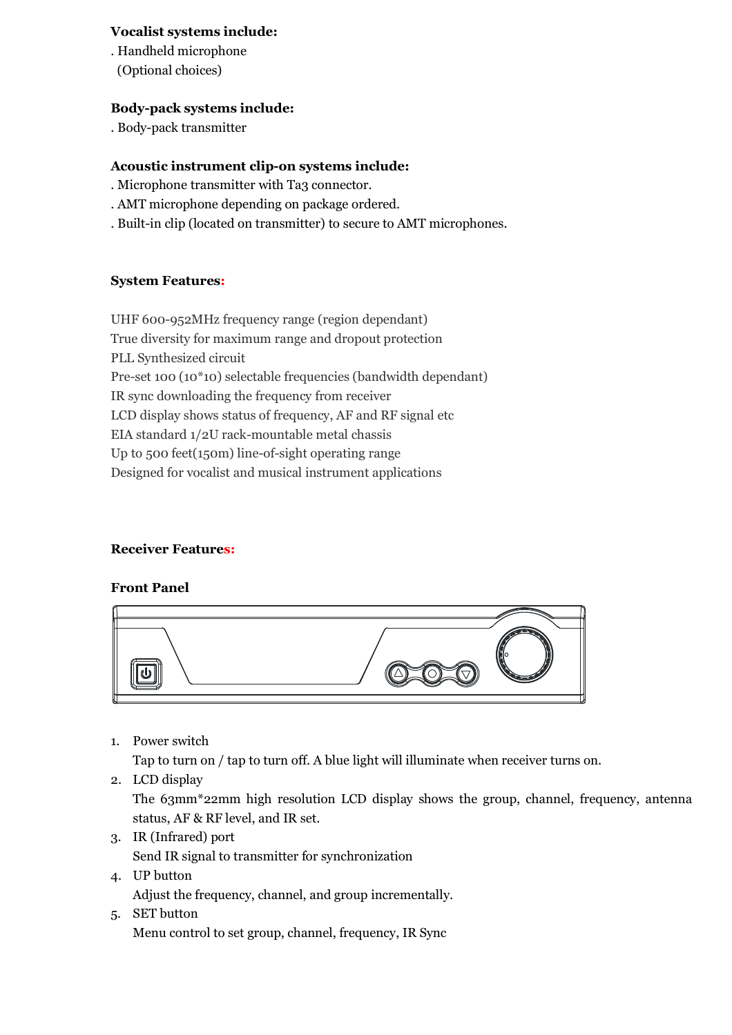## **Vocalist systems include:**

. Handheld microphone (Optional choices)

## **Body-pack systems include:**

. Body-pack transmitter

## **Acoustic instrument clip-on systems include:**

- . Microphone transmitter with Ta3 connector.
- . AMT microphone depending on package ordered.
- . Built-in clip (located on transmitter) to secure to AMT microphones.

### **System Features:**

UHF 600-952MHz frequency range (region dependant) True diversity for maximum range and dropout protection PLL Synthesized circuit Pre-set 100 (10\*10) selectable frequencies (bandwidth dependant) IR sync downloading the frequency from receiver LCD display shows status of frequency, AF and RF signal etc. EIA standard 1/2U rack-mountable metal chassis Up to 500 feet(150m) line-of-sight operating range Designed for vocalist and musical instrument applications

## **Receiver Features:**

### **Front Panel**



1. Power switch

Tap to turn on / tap to turn off. A blue light will illuminate when receiver turns on.

2. LCD display

The 63mm\*22mm high resolution LCD display shows the group, channel, frequency, antenna status, AF & RF level, and IR set.

- 3. IR (Infrared) port Send IR signal to transmitter for synchronization
- 4. UP button Adjust the frequency, channel, and group incrementally.
- 5. SET button Menu control to set group, channel, frequency, IR Sync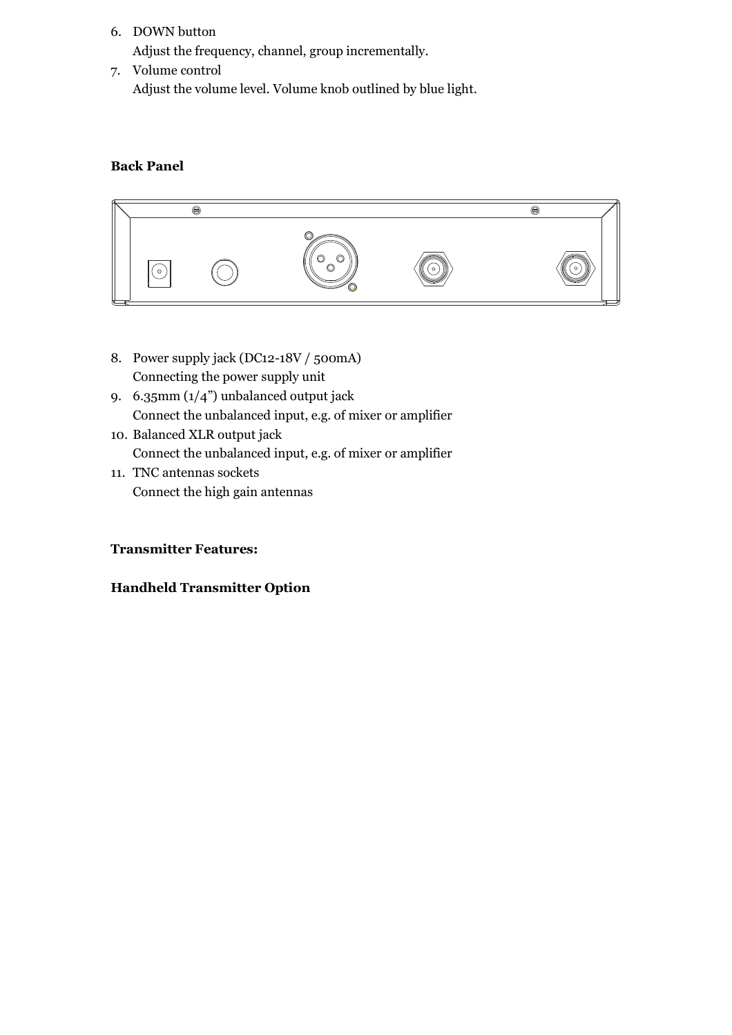6. DOWN button

Adjust the frequency, channel, group incrementally.

7. Volume control Adjust the volume level. Volume knob outlined by blue light.

## **Back Panel**



- 8. Power supply jack (DC12-18V / 500mA) Connecting the power supply unit
- 9. 6.35mm (1/4") unbalanced output jack Connect the unbalanced input, e.g. of mixer or amplifier
- 10. Balanced XLR output jack Connect the unbalanced input, e.g. of mixer or amplifier
- 11. TNC antennas sockets Connect the high gain antennas

## **Transmitter Features:**

## **Handheld Transmitter Option**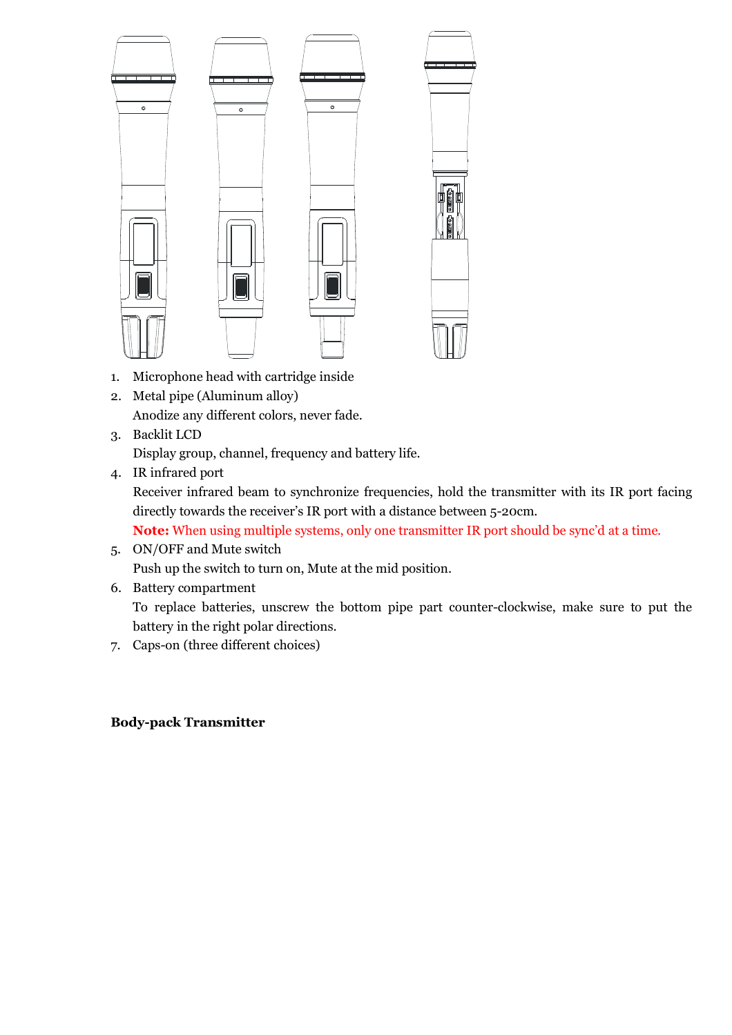

- 1. Microphone head with cartridge inside
- 2. Metal pipe (Aluminum alloy) Anodize any different colors, never fade.
- 3. Backlit LCD

Display group, channel, frequency and battery life.

4. IR infrared port

Receiver infrared beam to synchronize frequencies, hold the transmitter with its IR port facing directly towards the receiver's IR port with a distance between 5-20cm.

**Note:** When using multiple systems, only one transmitter IR port should be sync'd at a time.

- 5. ON/OFF and Mute switch Push up the switch to turn on, Mute at the mid position.
- 6. Battery compartment

To replace batteries, unscrew the bottom pipe part counter-clockwise, make sure to put the battery in the right polar directions.

7. Caps-on (three different choices)

# **Body-pack Transmitter**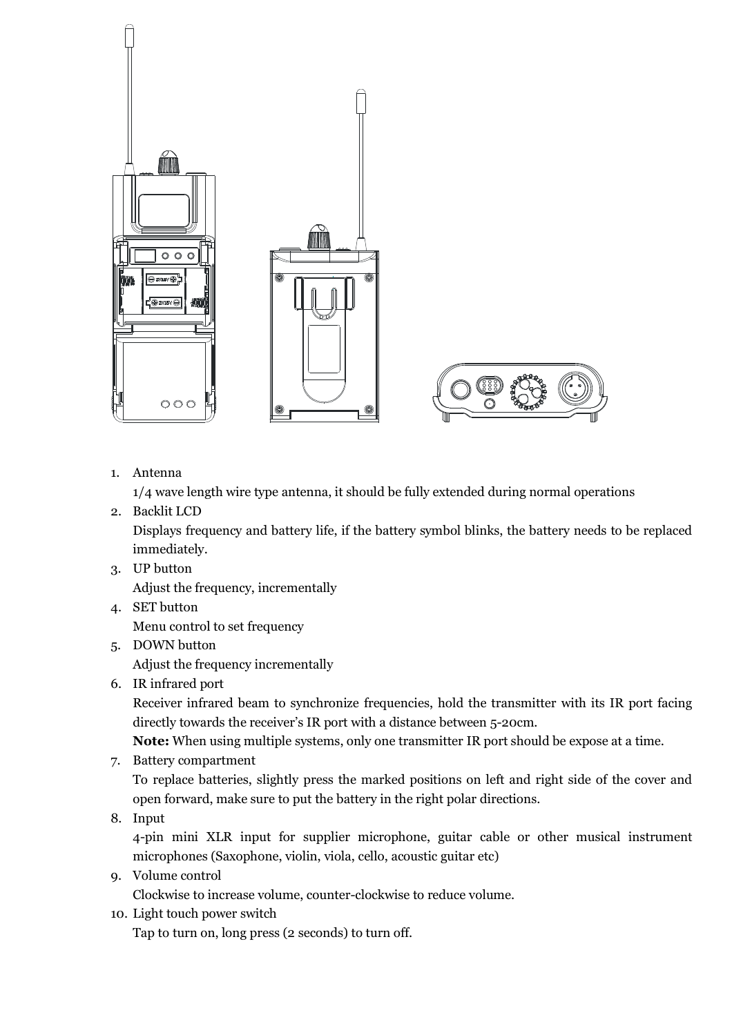

1. Antenna

1/4 wave length wire type antenna, it should be fully extended during normal operations

2. Backlit LCD

Displays frequency and battery life, if the battery symbol blinks, the battery needs to be replaced immediately.

3. UP button

Adjust the frequency, incrementally

- 4. SET button Menu control to set frequency
- 5. DOWN button

Adjust the frequency incrementally

6. IR infrared port

Receiver infrared beam to synchronize frequencies, hold the transmitter with its IR port facing directly towards the receiver's IR port with a distance between 5-20cm.

**Note:** When using multiple systems, only one transmitter IR port should be expose at a time.

7. Battery compartment

To replace batteries, slightly press the marked positions on left and right side of the cover and open forward, make sure to put the battery in the right polar directions.

8. Input

4-pin mini XLR input for supplier microphone, guitar cable or other musical instrument microphones (Saxophone, violin, viola, cello, acoustic guitar etc)

9. Volume control

Clockwise to increase volume, counter-clockwise to reduce volume.

10. Light touch power switch

Tap to turn on, long press (2 seconds) to turn off.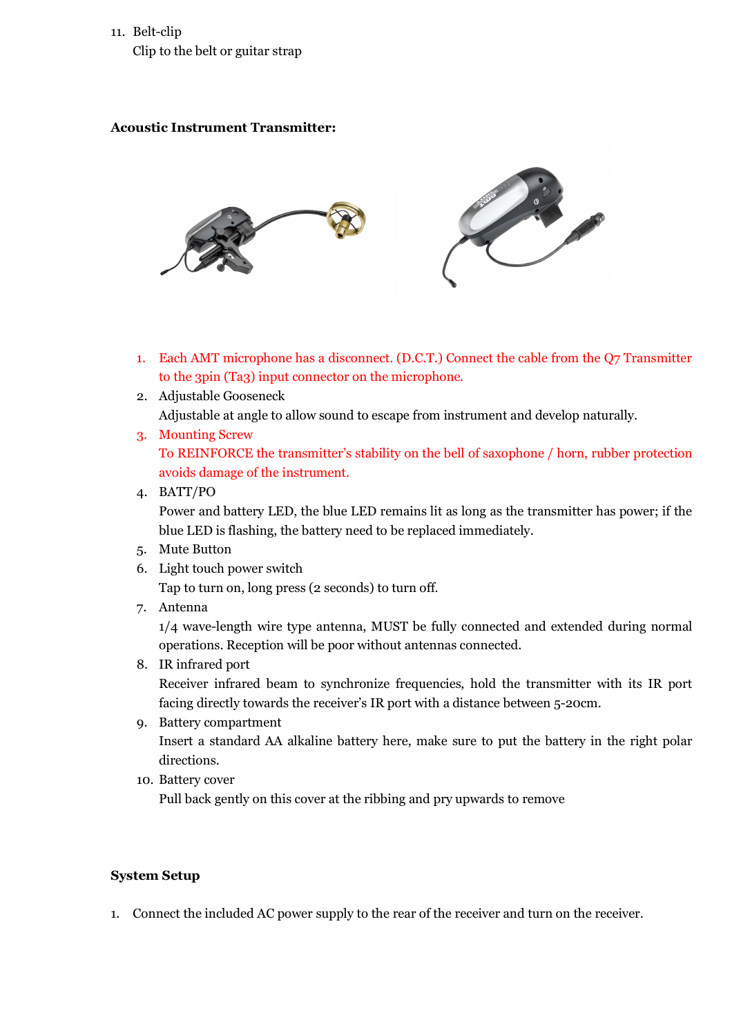# 11. Belt-clip Clip to the belt or guitar strap

## **Acoustic Instrument Transmitter:**



- 1. Each AMT microphone has a disconnect. (D.C.T.) Connect the cable from the Q7 Transmitter to the 3pin (Ta3) input connector on the microphone.
- 2. Adjustable Gooseneck Adjustable at angle to allow sound to escape from instrument and develop naturally.
- 3. Mounting Screw To REINFORCE the transmitter's stability on the bell of saxophone / horn, rubber protection avoids damage of the instrument.
- 4. BATT/PO Power and battery LED, the blue LED remains lit as long as the transmitter has power; if the blue LED is flashing, the battery need to be replaced immediately.
- 5. Mute Button
- 6. Light touch power switch

Tap to turn on, long press (2 seconds) to turn off.

7. Antenna

1/4 wave-length wire type antenna, MUST be fully connected and extended during normal operations. Reception will be poor without antennas connected.

- 8. IR infrared port Receiver infrared beam to synchronize frequencies, hold the transmitter with its IR port facing directly towards the receiver's IR port with a distance between 5-20cm.
- 9. Battery compartment Insert a standard AA alkaline battery here, make sure to put the battery in the right polar directions.
- 10. Battery cover

Pull back gently on this cover at the ribbing and pry upwards to remove

# **System Setup**

1. Connect the included AC power supply to the rear of the receiver and turn on the receiver.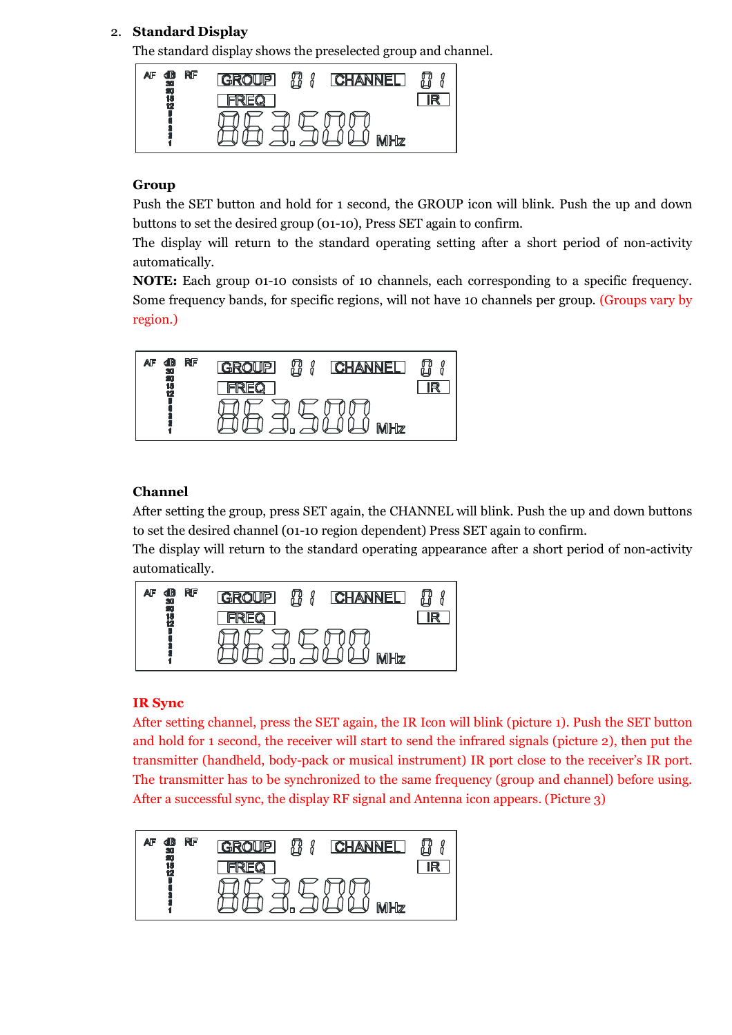# 2. **Standard Display**

The standard display shows the preselected group and channel.



## **Group**

Push the SET button and hold for 1 second, the GROUP icon will blink. Push the up and down buttons to set the desired group (01-10), Press SET again to confirm.

The display will return to the standard operating setting after a short period of non-activity automatically.

**NOTE:** Each group 01-10 consists of 10 channels, each corresponding to a specific frequency. Some frequency bands, for specific regions, will not have 10 channels per group. (Groups vary by region.)



# **Channel**

After setting the group, press SET again, the CHANNEL will blink. Push the up and down buttons to set the desired channel (01-10 region dependent) Press SET again to confirm.

The display will return to the standard operating appearance after a short period of non-activity automatically.



# **IR Sync**

After setting channel, press the SET again, the IR Icon will blink (picture 1). Push the SET button and hold for 1 second, the receiver will start to send the infrared signals (picture 2), then put the transmitter (handheld, body-pack or musical instrument) IR port close to the receiver's IR port. The transmitter has to be synchronized to the same frequency (group and channel) before using. After a successful sync, the display RF signal and Antenna icon appears. (Picture 3)

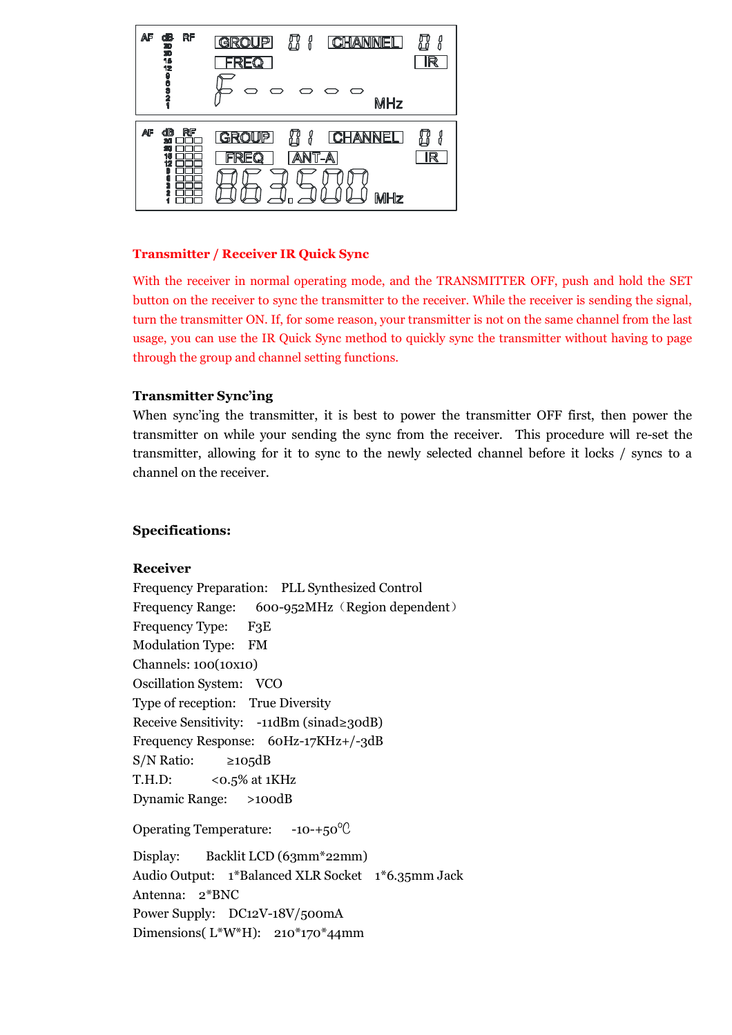

### **Transmitter / Receiver IR Quick Sync**

With the receiver in normal operating mode, and the TRANSMITTER OFF, push and hold the SET button on the receiver to sync the transmitter to the receiver. While the receiver is sending the signal, turn the transmitter ON. If, for some reason, your transmitter is not on the same channel from the last usage, you can use the IR Quick Sync method to quickly sync the transmitter without having to page through the group and channel setting functions.

### **Transmitter Sync'ing**

When sync'ing the transmitter, it is best to power the transmitter OFF first, then power the transmitter on while your sending the sync from the receiver. This procedure will re-set the transmitter, allowing for it to sync to the newly selected channel before it locks / syncs to a channel on the receiver.

## **Specifications:**

## **Receiver**

Frequency Preparation: PLL Synthesized Control Frequency Range: 600-952MHz (Region dependent) Frequency Type: F3E Modulation Type: FM Channels: 100(10x10) Oscillation System: VCO Type of reception: True Diversity Receive Sensitivity: -11dBm (sinad≥30dB) Frequency Response: 60Hz-17KHz+/-3dB  $S/N$  Ratio:  $\geq 105dB$ T.H.D:  $\leq 0.5\%$  at 1KHz Dynamic Range: >100dB Operating Temperature: -10-+50℃ Display: Backlit LCD (63mm\*22mm) Audio Output: 1\*Balanced XLR Socket 1\*6.35mm Jack Antenna: 2\*BNC

Power Supply: DC12V-18V/500mA

Dimensions( L\*W\*H): 210\*170\*44mm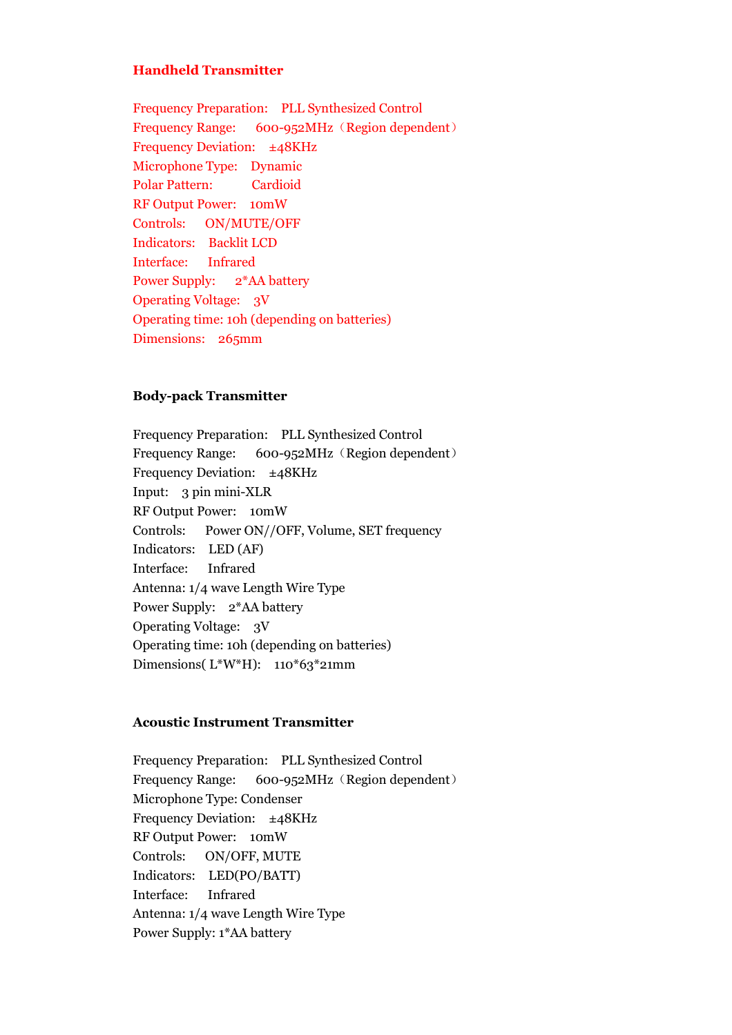#### **Handheld Transmitter**

Frequency Preparation: PLL Synthesized Control Frequency Range: 600-952MHz (Region dependent) Frequency Deviation: ±48KHz Microphone Type: Dynamic Polar Pattern: Cardioid RF Output Power: 10mW Controls: ON/MUTE/OFF Indicators: Backlit LCD Interface: Infrared Power Supply: 2\*AA battery Operating Voltage: 3V Operating time: 10h (depending on batteries) Dimensions: 265mm

### **Body-pack Transmitter**

Frequency Preparation: PLL Synthesized Control Frequency Range: 600-952MHz (Region dependent) Frequency Deviation: ±48KHz Input: 3 pin mini-XLR RF Output Power: 10mW Controls: Power ON//OFF, Volume, SET frequency Indicators: LED (AF) Interface: Infrared Antenna: 1/4 wave Length Wire Type Power Supply: 2\*AA battery Operating Voltage: 3V Operating time: 10h (depending on batteries) Dimensions( $L*W*H$ ): 110\*63\*21mm

#### **Acoustic Instrument Transmitter**

Frequency Preparation: PLL Synthesized Control Frequency Range: 600-952MHz (Region dependent) Microphone Type: Condenser Frequency Deviation: ±48KHz RF Output Power: 10mW Controls: ON/OFF, MUTE Indicators: LED(PO/BATT) Interface: Infrared Antenna: 1/4 wave Length Wire Type Power Supply: 1\*AA battery